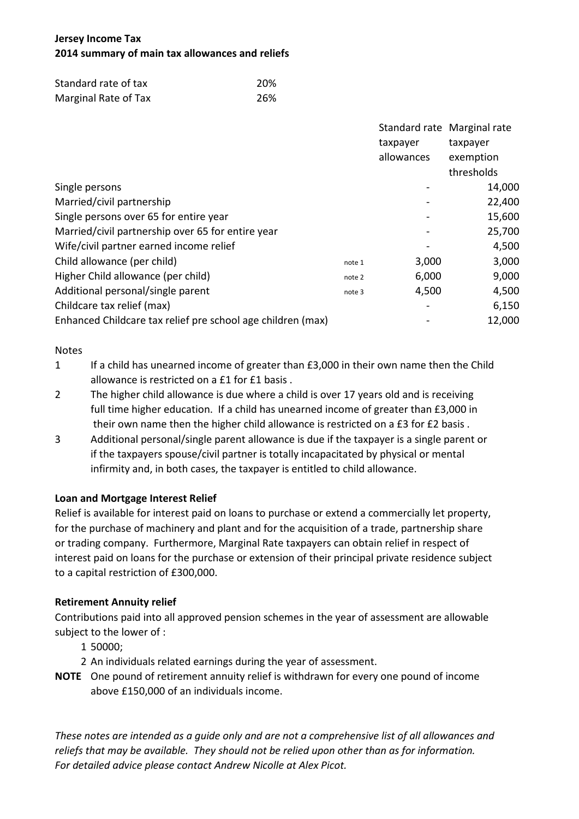# **Jersey Income Tax 2014 summary of main tax allowances and reliefs**

| Standard rate of tax | 20% |
|----------------------|-----|
| Marginal Rate of Tax | 26% |

|                                                             |        | Standard rate Marginal rate |            |
|-------------------------------------------------------------|--------|-----------------------------|------------|
|                                                             |        | taxpayer                    | taxpayer   |
|                                                             |        | allowances                  | exemption  |
|                                                             |        |                             | thresholds |
| Single persons                                              |        |                             | 14,000     |
| Married/civil partnership                                   |        |                             | 22,400     |
| Single persons over 65 for entire year                      |        |                             | 15,600     |
| Married/civil partnership over 65 for entire year           |        |                             | 25,700     |
| Wife/civil partner earned income relief                     |        |                             | 4,500      |
| Child allowance (per child)                                 | note 1 | 3,000                       | 3,000      |
| Higher Child allowance (per child)                          | note 2 | 6,000                       | 9,000      |
| Additional personal/single parent                           | note 3 | 4,500                       | 4,500      |
| Childcare tax relief (max)                                  |        |                             | 6,150      |
| Enhanced Childcare tax relief pre school age children (max) |        |                             | 12,000     |

## Notes

- 1 If a child has unearned income of greater than £3,000 in their own name then the Child allowance is restricted on a £1 for £1 basis .
- 2 The higher child allowance is due where a child is over 17 years old and is receiving full time higher education. If a child has unearned income of greater than £3,000 in their own name then the higher child allowance is restricted on a £3 for £2 basis .
- 3 Additional personal/single parent allowance is due if the taxpayer is a single parent or if the taxpayers spouse/civil partner is totally incapacitated by physical or mental infirmity and, in both cases, the taxpayer is entitled to child allowance.

# **Loan and Mortgage Interest Relief**

Relief is available for interest paid on loans to purchase or extend a commercially let property, for the purchase of machinery and plant and for the acquisition of a trade, partnership share or trading company. Furthermore, Marginal Rate taxpayers can obtain relief in respect of interest paid on loans for the purchase or extension of their principal private residence subject to a capital restriction of £300,000.

# **Retirement Annuity relief**

Contributions paid into all approved pension schemes in the year of assessment are allowable subject to the lower of :

- 1 50000;
- 2 An individuals related earnings during the year of assessment.
- **NOTE** One pound of retirement annuity relief is withdrawn for every one pound of income above £150,000 of an individuals income.

*These notes are intended as a guide only and are not a comprehensive list of all allowances and reliefs that may be available. They should not be relied upon other than as for information. For detailed advice please contact Andrew Nicolle at Alex Picot.*